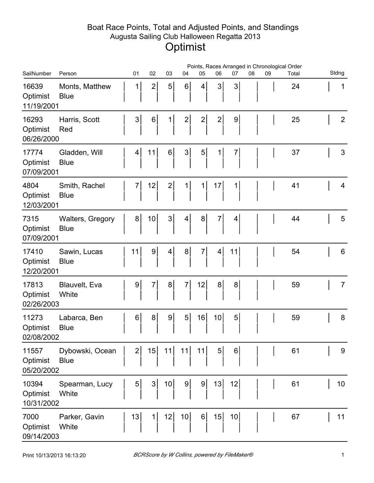## Boat Race Points, Total and Adjusted Points, and Standings Augusta Sailing Club Halloween Regatta 2013 **Optimist**

|                                 | Points, Races Arranged in Chronological Order |                 |                 |                 |                 |                |                |                |    |    |       |                |
|---------------------------------|-----------------------------------------------|-----------------|-----------------|-----------------|-----------------|----------------|----------------|----------------|----|----|-------|----------------|
| SailNumber                      | Person                                        | 01              | 02              | 03              | 04              | 05             | 06             | 07             | 08 | 09 | Total | Stdng          |
| 16639<br>Optimist<br>11/19/2001 | Monts, Matthew<br><b>Blue</b>                 | $\mathbf 1$     | $\mathbf{2}$    | 5 <sup>1</sup>  | 6 <sup>1</sup>  | 4              | $\mathfrak{S}$ | 3              |    |    | 24    | 1              |
| 16293<br>Optimist<br>06/26/2000 | Harris, Scott<br>Red                          | 3 <sup>1</sup>  | 6               | $1\vert$        | $\mathbf{2}$    | $\mathbf{2}$   | $\mathbf{2}$   | 9              |    |    | 25    | $\overline{2}$ |
| 17774<br>Optimist<br>07/09/2001 | Gladden, Will<br><b>Blue</b>                  | $\vert 4 \vert$ | 11              | $6 \mid$        | 3 <sup>1</sup>  | 5 <sup>1</sup> | 1              | $\overline{7}$ |    |    | 37    | 3              |
| 4804<br>Optimist<br>12/03/2001  | Smith, Rachel<br><b>Blue</b>                  | $\overline{7}$  | 12              | $\mathbf{2}$    | $\mathbf{1}$    | 1              | 17             | 1              |    |    | 41    | 4              |
| 7315<br>Optimist<br>07/09/2001  | <b>Walters, Gregory</b><br><b>Blue</b>        | 8 <sup>1</sup>  | 10 <sub>1</sub> | 3 <sup>1</sup>  | $\vert 4 \vert$ | 8              | 7              | 4              |    |    | 44    | 5              |
| 17410<br>Optimist<br>12/20/2001 | Sawin, Lucas<br><b>Blue</b>                   | 11              | 9               | $\vert 4 \vert$ | 8 <sup>1</sup>  | $\overline{7}$ | 4              | 11             |    |    | 54    | 6              |
| 17813<br>Optimist<br>02/26/2003 | Blauvelt, Eva<br>White                        | $\overline{9}$  | $\overline{7}$  | 8 <sup>1</sup>  | $\overline{7}$  | 12             | 8 <sup>1</sup> | 8              |    |    | 59    | $\overline{7}$ |
| 11273<br>Optimist<br>02/08/2002 | Labarca, Ben<br><b>Blue</b>                   | $6 \mid$        | 8 <sup>1</sup>  | 9 <sup>1</sup>  | 5 <sup>1</sup>  | 16             | 10             | 5              |    |    | 59    | 8              |
| 11557<br>Optimist<br>05/20/2002 | Dybowski, Ocean<br><b>Blue</b>                | 2               | 15              | 11              | 11              | 11             | 5 <sup>1</sup> | 6              |    |    | 61    | 9              |
| 10394<br>Optimist<br>10/31/2002 | Spearman, Lucy<br>White                       | 5 <sup>1</sup>  | 3 <sup>1</sup>  | 10              | 9 <sup>1</sup>  | $\overline{9}$ | 13             | 12             |    |    | 61    | 10             |
| 7000<br>Optimist<br>09/14/2003  | Parker, Gavin<br>White                        | 13              | 1               | 12              | 10 <sub>l</sub> | $6 \mid$       | 15             | 10             |    |    | 67    | 11             |